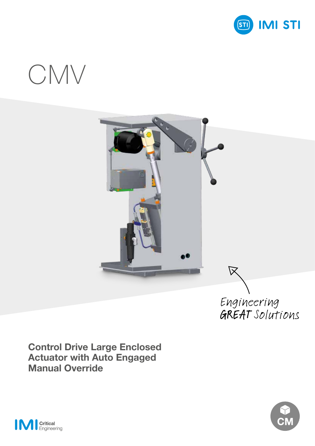

# CMV



**Control Drive Large Enclosed Actuator with Auto Engaged Manual Override**



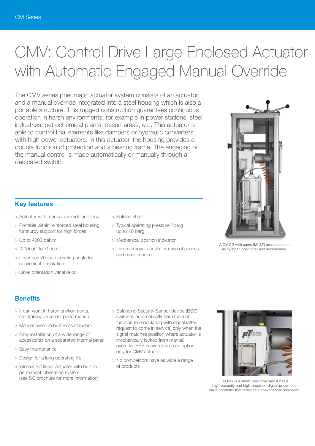# CMV: Control Drive Large Enclosed Actuator with Automatic Engaged Manual Override

The CMV series pneumatic actuator system consists of an actuator and a manual override integrated into a steel housing which is also a portable structure. This rugged construction guarantees continuous operation in harsh environments, for example in power stations, steel industries, petrochemical plants, desert areas, etc. This actuator is able to control final elements like dampers or hydraulic converters with high power actuators. In this actuator, the housing provides a double function of protection and a bearing frame. The engaging of the manual control is made automatically or manually through a dedicated switch.

# **Key features**

- > Actuator with manual override and lock
- > Portable within reinforced steel housing for sturdy support for high forces
- > Up to 4000 daNm
- > -20degC to 70degC
- > Lever has 70deg operating angle for convenient orientation
- > Lever orientation variable on
- > Splined shaft
- > Typical operating pressure 7barg up to 10 barg
- > Mechanical position indicator
- > Large removal panels for ease of access and maintenance



A CMV-2 with some IMI STI products such as cylinder, positioner and accessories.

# **Benefits**

- > It can work in harsh environments, maintaining excellent performance
- > Manual override built-in as standard
- > Easy installation of a wide range of accessories on a separated internal panel
- > Easy maintenance
- > Design for a long operating life
- > Internal SC linear actuator with built-in permanent lubrication system (see SC brochure for more information)
- > Balancing Security Sensor device (BSS) switches automatically from manual function to modulating with signal (after request to come in service) only when the signal matches position where actuator is mechanically locked from manual override. BSS is available as an option only for CMV actuator
- > No competitors have as wide a range of products



FasTrak is a smart positioner and it has a high-capacity and high-precision digital-pneumatic valve controller that replaces a conventional positioner.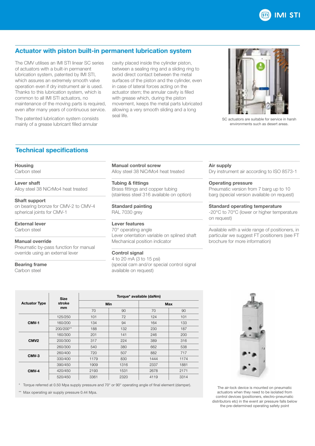

# **Actuator with piston built-in permanent lubrication system**

The CMV utilises an IMI STI linear SC series of actuators with a built-in permanent lubrication system, patented by IMI STI, which assures an extremely smooth valve operation even if dry instrument air is used. Thanks to this lubrication system, which is common to all IMI STI actuators, no maintenance of the moving parts is required, even after many years of continuous service.

The patented lubrication system consists mainly of a grease lubricant filled annular

cavity placed inside the cylinder piston, between a sealing ring and a sliding ring to avoid direct contact between the metal surfaces of the piston and the cylinder, even in case of lateral forces acting on the actuator stem; the annular cavity is filled with grease which, during the piston movement, keeps the metal parts lubricated allowing a very smooth sliding and a long seal life.



SC actuators are suitable for service in harsh environments such as desert areas.

# **Technical specifications**

#### **Housing**

Carbon steel

# **Lever shaft**

Alloy steel 38 NiCrMo4 heat treated

### **Shaft support**

on bearing bronze for CMV-2 to CMV-4 spherical joints for CMV-1

#### **External lever** Carhon steel

# **Manual override**

Pneumatic by-pass function for manual override using an external lever

# **Bearing frame**

Carbon steel

**Manual control screw** Alloy steel 38 NiCrMo4 heat treated

**Tubing & fittings** Brass fittings and copper tubing (stainless steel 316 available on option)

**Standard painting** RAL 7030 grey

# **Lever features**

70° operating angle Lever orientation variable on splined shaft Mechanical position indicator

# **Control signal**

4 to 20 mA (3 to 15 psi) (special cam and/or special control signal available on request)

### **Air supply**

Dry instrument air according to ISO 8573-1

# **Operating pressure**

Pneumatic version from 7 barg up to 10 barg (special version available on request)

#### **Standard operating temperature**

-20°C to 70°C (lower or higher temperature on request)

Available with a wide range of positioners, in particular we suggest FT positioners (see FT brochure for more information)

| <b>Actuator Type</b> | <b>Size</b><br>stroke<br>mm | Torque* available (daNm) |      |            |      |
|----------------------|-----------------------------|--------------------------|------|------------|------|
|                      |                             | <b>Min</b>               |      | <b>Max</b> |      |
|                      |                             | 70                       | 90   | 70         | 90   |
| CMV-1                | 125/250                     | 101                      | 72   | 124        | 101  |
|                      | 160/200                     | 134                      | 94   | 164        | 133  |
|                      | 200/200**                   | 188                      | 132  | 230        | 187  |
| CMV <sub>2</sub>     | 160/300                     | 201                      | 141  | 246        | 200  |
|                      | 200/300                     | 317                      | 224  | 389        | 316  |
|                      | 260/300                     | 540                      | 380  | 662        | 538  |
| CMV-3                | 260/400                     | 720                      | 507  | 882        | 717  |
|                      | 330/400                     | 1179                     | 830  | 1444       | 1174 |
| CMV-4                | 390/450                     | 1909                     | 1316 | 2337       | 1881 |
|                      | 420/450                     | 2193                     | 1531 | 2678       | 2171 |
|                      | 520/450                     | 3361                     | 2320 | 4119       | 3314 |

\* Torque referred at 0.50 Mpa supply pressure and 70° or 90° operating angle of final element (damper).

\*\* Max operating air supply pressure 0.44 Mpa.



The air-lock device is mounted on pneumatic actuators when they need to be isolated from control devices (positioners, electro-pneumatic distributors etc) in the event air pressure falls below the pre-determined operating safety point